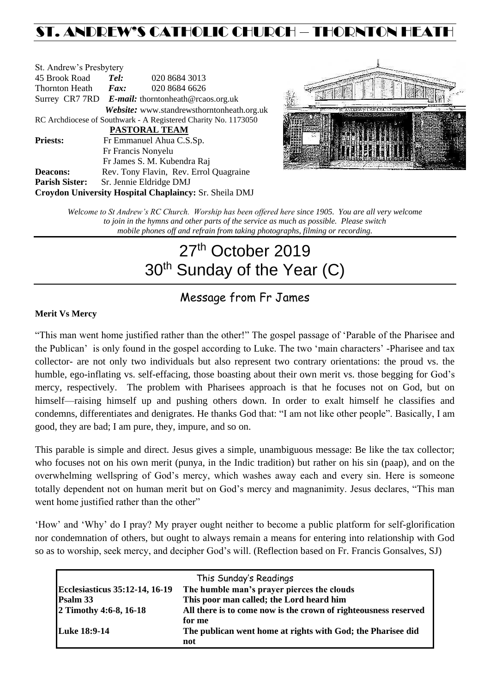## ST. ANDREW'S CATHOLIC CHURCH – THORNTON HEAT

| St. Andrew's Presbytery |                                                      |                                                                |  |  |
|-------------------------|------------------------------------------------------|----------------------------------------------------------------|--|--|
| 45 Brook Road           | Tel:                                                 | 020 8684 3013                                                  |  |  |
| Thornton Heath          | $\boldsymbol{Fax:}$                                  | 020 8684 6626                                                  |  |  |
|                         | Surrey CR7 7RD $E$ -mail: thorntonheath@rcaos.org.uk |                                                                |  |  |
|                         |                                                      | Website: www.standrewsthorntonheath.org.uk                     |  |  |
|                         |                                                      | RC Archdiocese of Southwark - A Registered Charity No. 1173050 |  |  |
| <b>PASTORAL TEAM</b>    |                                                      |                                                                |  |  |
| <b>Priests:</b>         |                                                      | Fr Emmanuel Ahua C.S.Sp.                                       |  |  |
|                         |                                                      | Fr Francis Nonyelu                                             |  |  |
|                         |                                                      | Fr James S. M. Kubendra Raj                                    |  |  |
| <b>Deacons:</b>         |                                                      | Rev. Tony Flavin, Rev. Errol Quagraine                         |  |  |
| <b>Parish Sister:</b>   |                                                      | Sr. Jennie Eldridge DMJ                                        |  |  |
|                         |                                                      | Croydon University Hospital Chaplaincy: Sr. Sheila DMJ         |  |  |



*Welcome to St Andrew's RC Church. Worship has been offered here since 1905. You are all very welcome to join in the hymns and other parts of the service as much as possible. Please switch mobile phones off and refrain from taking photographs, filming or recording.*

# 27<sup>th</sup> October 2019 30<sup>th</sup> Sunday of the Year (C)

## Message from Fr James

#### **Merit Vs Mercy**

"This man went home justified rather than the other!" The gospel passage of 'Parable of the Pharisee and the Publican' is only found in the gospel according to Luke. The two 'main characters' -Pharisee and tax collector- are not only two individuals but also represent two contrary orientations: the proud vs. the humble, ego-inflating vs. self-effacing, those boasting about their own merit vs. those begging for God's mercy, respectively. The problem with Pharisees approach is that he focuses not on God, but on himself—raising himself up and pushing others down. In order to exalt himself he classifies and condemns, differentiates and denigrates. He thanks God that: "I am not like other people". Basically, I am good, they are bad; I am pure, they, impure, and so on.

This parable is simple and direct. Jesus gives a simple, unambiguous message: Be like the tax collector; who focuses not on his own merit (punya, in the Indic tradition) but rather on his sin (paap), and on the overwhelming wellspring of God's mercy, which washes away each and every sin. Here is someone totally dependent not on human merit but on God's mercy and magnanimity. Jesus declares, "This man went home justified rather than the other"

'How' and 'Why' do I pray? My prayer ought neither to become a public platform for self-glorification nor condemnation of others, but ought to always remain a means for entering into relationship with God so as to worship, seek mercy, and decipher God's will. (Reflection based on Fr. Francis Gonsalves, SJ)

|                                | This Sunday's Readings                                          |
|--------------------------------|-----------------------------------------------------------------|
| Ecclesiasticus 35:12-14, 16-19 | The humble man's prayer pierces the clouds                      |
| <b>Psalm 33</b>                | This poor man called; the Lord heard him                        |
| 2 Timothy 4:6-8, 16-18         | All there is to come now is the crown of righteousness reserved |
|                                | for me                                                          |
| <b>Luke 18:9-14</b>            | The publican went home at rights with God; the Pharisee did     |
|                                | not                                                             |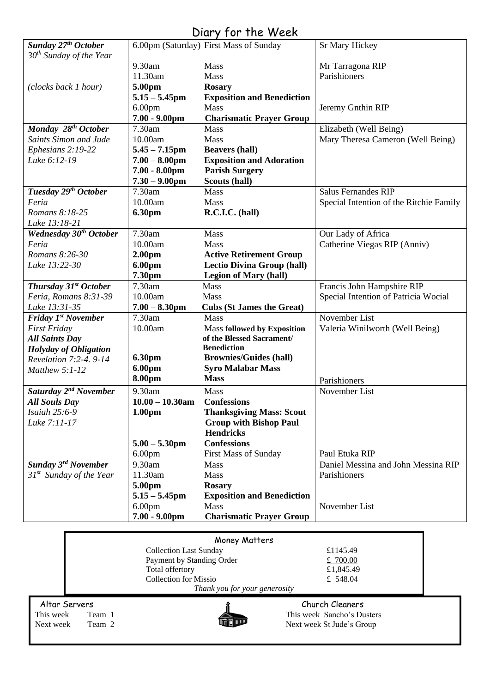| Diary for the Week                |                    |                                        |                                         |  |  |
|-----------------------------------|--------------------|----------------------------------------|-----------------------------------------|--|--|
| Sunday 27 <sup>th</sup> October   |                    | 6.00pm (Saturday) First Mass of Sunday | <b>Sr Mary Hickey</b>                   |  |  |
| $30th$ Sunday of the Year         |                    |                                        |                                         |  |  |
|                                   | 9.30am             | Mass                                   | Mr Tarragona RIP                        |  |  |
|                                   | 11.30am            | Mass                                   | Parishioners                            |  |  |
| (clocks back 1 hour)              | 5.00pm             | <b>Rosary</b>                          |                                         |  |  |
|                                   | $5.15 - 5.45$ pm   | <b>Exposition and Benediction</b>      |                                         |  |  |
|                                   | 6.00 <sub>pm</sub> | Mass                                   | Jeremy Gnthin RIP                       |  |  |
|                                   | $7.00 - 9.00$ pm   | <b>Charismatic Prayer Group</b>        |                                         |  |  |
| Monday 28 <sup>th</sup> October   | 7.30am             | Mass                                   | Elizabeth (Well Being)                  |  |  |
| <b>Saints Simon and Jude</b>      | 10.00am            | Mass                                   | Mary Theresa Cameron (Well Being)       |  |  |
| Ephesians 2:19-22                 | $5.45 - 7.15$ pm   | <b>Beavers (hall)</b>                  |                                         |  |  |
| Luke 6:12-19                      | $7.00 - 8.00$ pm   | <b>Exposition and Adoration</b>        |                                         |  |  |
|                                   | $7.00 - 8.00$ pm   | <b>Parish Surgery</b>                  |                                         |  |  |
|                                   | $7.30 - 9.00$ pm   | Scouts (hall)                          |                                         |  |  |
| Tuesday 29th October              | 7.30am             | Mass                                   | <b>Salus Fernandes RIP</b>              |  |  |
| Feria                             | 10.00am            | Mass                                   | Special Intention of the Ritchie Family |  |  |
| Romans 8:18-25                    | 6.30pm             | R.C.I.C. (hall)                        |                                         |  |  |
| Luke 13:18-21                     |                    |                                        |                                         |  |  |
| <b>Wednesday 30th October</b>     | 7.30am             | Mass                                   | Our Lady of Africa                      |  |  |
| Feria                             | 10.00am            | Mass                                   | Catherine Viegas RIP (Anniv)            |  |  |
| Romans 8:26-30                    | 2.00 <sub>pm</sub> | <b>Active Retirement Group</b>         |                                         |  |  |
| Luke 13:22-30                     | <b>6.00pm</b>      | <b>Lectio Divina Group (hall)</b>      |                                         |  |  |
|                                   | 7.30pm             | <b>Legion of Mary (hall)</b>           |                                         |  |  |
| Thursday 31 <sup>st</sup> October | 7.30am             | Mass                                   | Francis John Hampshire RIP              |  |  |
| Feria, Romans 8:31-39             | 10.00am            | Mass                                   | Special Intention of Patricia Wocial    |  |  |
| Luke 13:31-35                     | $7.00 - 8.30$ pm   | <b>Cubs (St James the Great)</b>       |                                         |  |  |
| Friday 1 <sup>st</sup> November   | 7.30am             | Mass                                   | November List                           |  |  |
| <b>First Friday</b>               | 10.00am            | Mass followed by Exposition            | Valeria Winilworth (Well Being)         |  |  |
| <b>All Saints Day</b>             |                    | of the Blessed Sacrament/              |                                         |  |  |
| <b>Holyday of Obligation</b>      |                    | <b>Benediction</b>                     |                                         |  |  |
| Revelation 7:2-4. 9-14            | 6.30pm             | <b>Brownies/Guides (hall)</b>          |                                         |  |  |
| Matthew 5:1-12                    | 6.00pm             | <b>Syro Malabar Mass</b>               |                                         |  |  |
|                                   | 8.00pm             | <b>Mass</b>                            | Parishioners                            |  |  |
| Saturday 2 <sup>nd</sup> November | 9.30am             | Mass                                   | November List                           |  |  |
| <b>All Souls Day</b>              | $10.00 - 10.30$ am | <b>Confessions</b>                     |                                         |  |  |
| Isaiah 25:6-9                     | 1.00 <sub>pm</sub> | <b>Thanksgiving Mass: Scout</b>        |                                         |  |  |
| Luke 7:11-17                      |                    | <b>Group with Bishop Paul</b>          |                                         |  |  |
|                                   |                    | <b>Hendricks</b>                       |                                         |  |  |
|                                   | $5.00 - 5.30$ pm   | <b>Confessions</b>                     |                                         |  |  |
|                                   | 6.00 <sub>pm</sub> | <b>First Mass of Sunday</b>            | Paul Etuka RIP                          |  |  |
| <b>Sunday 3rd November</b>        | 9.30am             | <b>Mass</b>                            | Daniel Messina and John Messina RIP     |  |  |
| $31st$ Sunday of the Year         | 11.30am            | Mass                                   | Parishioners                            |  |  |
|                                   | 5.00pm             | <b>Rosary</b>                          |                                         |  |  |
|                                   | $5.15 - 5.45$ pm   | <b>Exposition and Benediction</b>      |                                         |  |  |
|                                   | 6.00 <sub>pm</sub> | Mass                                   | November List                           |  |  |
|                                   | $7.00 - 9.00$ pm   | <b>Charismatic Prayer Group</b>        |                                         |  |  |

|               |                              | Money Matters                 |                            |  |
|---------------|------------------------------|-------------------------------|----------------------------|--|
|               |                              | <b>Collection Last Sunday</b> | £1145.49                   |  |
|               |                              | Payment by Standing Order     | £ $700.00$                 |  |
|               |                              | Total offertory               | £1,845.49                  |  |
|               | <b>Collection for Missio</b> |                               | £ 548.04                   |  |
|               |                              | Thank you for your generosity |                            |  |
| Altar Servers |                              |                               | Church Cleaners            |  |
| This week     | Team 1                       |                               | This week Sancho's Dusters |  |
| Next week     | Team 2                       |                               | Next week St Jude's Group  |  |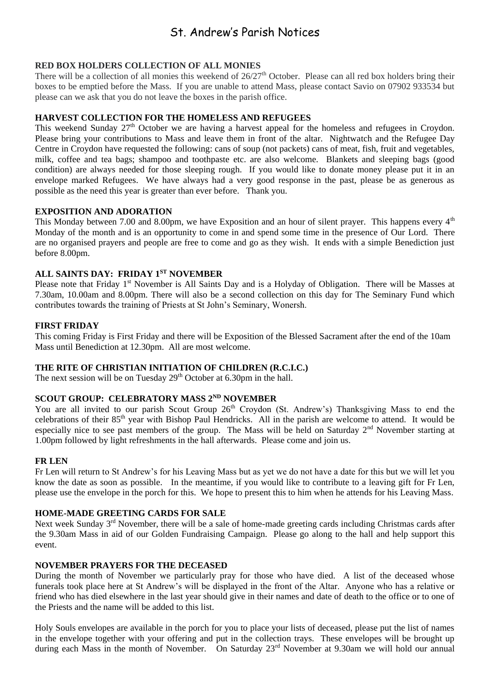### St. Andrew's Parish Notices

#### **RED BOX HOLDERS COLLECTION OF ALL MONIES**

There will be a collection of all monies this weekend of  $26/27<sup>th</sup>$  October. Please can all red box holders bring their boxes to be emptied before the Mass. If you are unable to attend Mass, please contact Savio on 07902 933534 but please can we ask that you do not leave the boxes in the parish office.

#### **HARVEST COLLECTION FOR THE HOMELESS AND REFUGEES**

This weekend Sunday  $27<sup>th</sup>$  October we are having a harvest appeal for the homeless and refugees in Croydon. Please bring your contributions to Mass and leave them in front of the altar. Nightwatch and the Refugee Day Centre in Croydon have requested the following: cans of soup (not packets) cans of meat, fish, fruit and vegetables, milk, coffee and tea bags; shampoo and toothpaste etc. are also welcome. Blankets and sleeping bags (good condition) are always needed for those sleeping rough. If you would like to donate money please put it in an envelope marked Refugees. We have always had a very good response in the past, please be as generous as possible as the need this year is greater than ever before. Thank you.

#### **EXPOSITION AND ADORATION**

This Monday between 7.00 and 8.00pm, we have Exposition and an hour of silent prayer. This happens every 4<sup>th</sup> Monday of the month and is an opportunity to come in and spend some time in the presence of Our Lord. There are no organised prayers and people are free to come and go as they wish. It ends with a simple Benediction just before 8.00pm.

#### **ALL SAINTS DAY: FRIDAY 1ST NOVEMBER**

Please note that Friday 1<sup>st</sup> November is All Saints Day and is a Holyday of Obligation. There will be Masses at 7.30am, 10.00am and 8.00pm. There will also be a second collection on this day for The Seminary Fund which contributes towards the training of Priests at St John's Seminary, Wonersh.

#### **FIRST FRIDAY**

This coming Friday is First Friday and there will be Exposition of the Blessed Sacrament after the end of the 10am Mass until Benediction at 12.30pm. All are most welcome.

#### **THE RITE OF CHRISTIAN INITIATION OF CHILDREN (R.C.I.C.)**

The next session will be on Tuesday  $29<sup>th</sup>$  October at 6.30pm in the hall.

#### **SCOUT GROUP: CELEBRATORY MASS 2ND NOVEMBER**

You are all invited to our parish Scout Group 26<sup>th</sup> Croydon (St. Andrew's) Thanksgiving Mass to end the celebrations of their 85<sup>th</sup> year with Bishop Paul Hendricks. All in the parish are welcome to attend. It would be especially nice to see past members of the group. The Mass will be held on Saturday 2<sup>nd</sup> November starting at 1.00pm followed by light refreshments in the hall afterwards. Please come and join us.

#### **FR LEN**

Fr Len will return to St Andrew's for his Leaving Mass but as yet we do not have a date for this but we will let you know the date as soon as possible. In the meantime, if you would like to contribute to a leaving gift for Fr Len, please use the envelope in the porch for this. We hope to present this to him when he attends for his Leaving Mass.

#### **HOME-MADE GREETING CARDS FOR SALE**

Next week Sunday 3<sup>rd</sup> November, there will be a sale of home-made greeting cards including Christmas cards after the 9.30am Mass in aid of our Golden Fundraising Campaign. Please go along to the hall and help support this event.

#### **NOVEMBER PRAYERS FOR THE DECEASED**

During the month of November we particularly pray for those who have died. A list of the deceased whose funerals took place here at St Andrew's will be displayed in the front of the Altar. Anyone who has a relative or friend who has died elsewhere in the last year should give in their names and date of death to the office or to one of the Priests and the name will be added to this list.

Holy Souls envelopes are available in the porch for you to place your lists of deceased, please put the list of names in the envelope together with your offering and put in the collection trays. These envelopes will be brought up during each Mass in the month of November. On Saturday 23<sup>rd</sup> November at 9.30am we will hold our annual